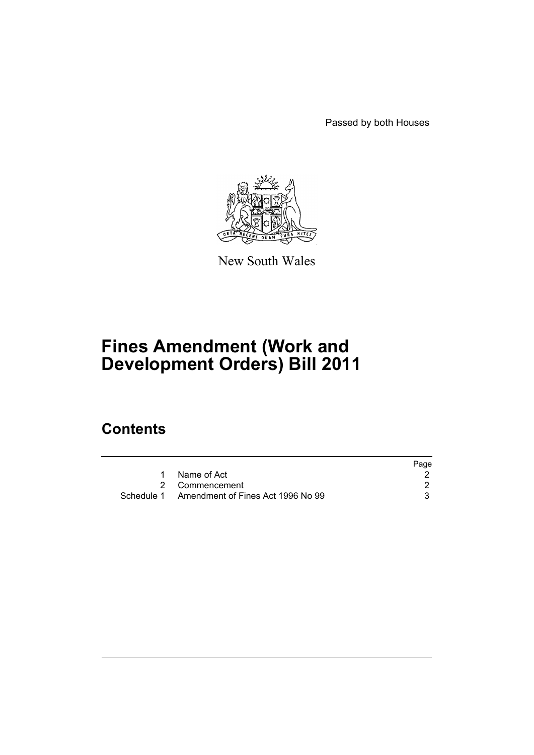Passed by both Houses



New South Wales

# **Fines Amendment (Work and Development Orders) Bill 2011**

### **Contents**

|                                              | Page |
|----------------------------------------------|------|
| Name of Act                                  |      |
| 2 Commencement                               |      |
| Schedule 1 Amendment of Fines Act 1996 No 99 |      |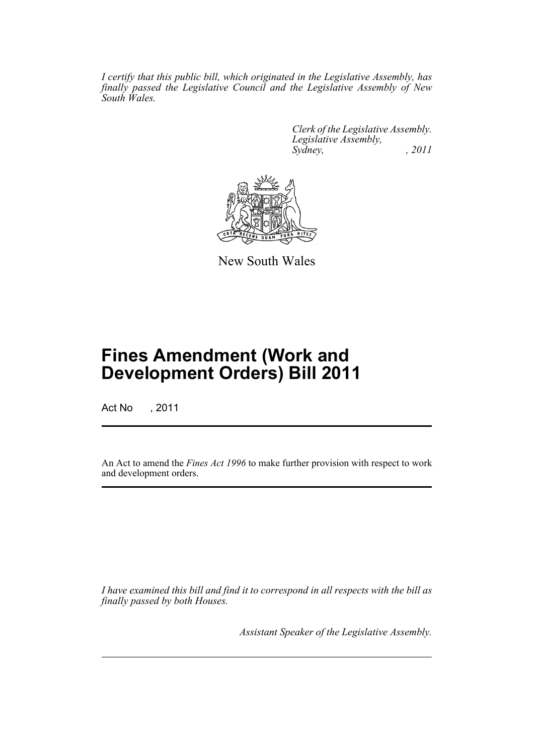*I certify that this public bill, which originated in the Legislative Assembly, has finally passed the Legislative Council and the Legislative Assembly of New South Wales.*

> *Clerk of the Legislative Assembly. Legislative Assembly, Sydney, , 2011*



New South Wales

## **Fines Amendment (Work and Development Orders) Bill 2011**

Act No , 2011

An Act to amend the *Fines Act 1996* to make further provision with respect to work and development orders.

*I have examined this bill and find it to correspond in all respects with the bill as finally passed by both Houses.*

*Assistant Speaker of the Legislative Assembly.*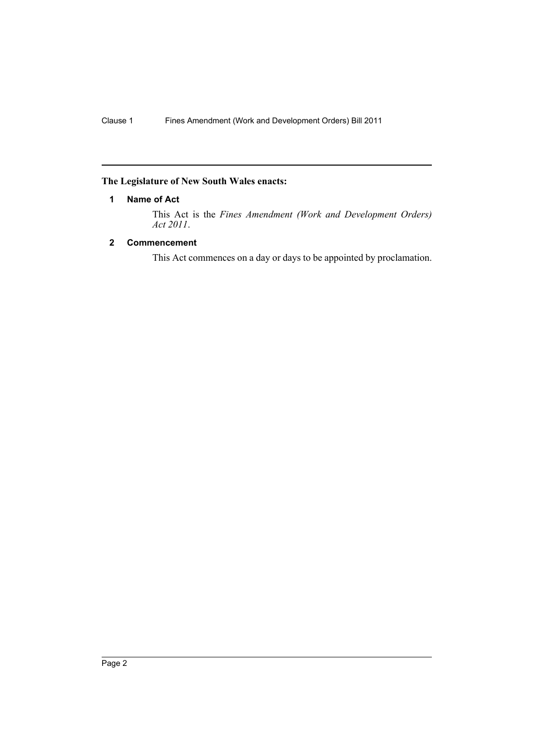#### <span id="page-3-0"></span>**The Legislature of New South Wales enacts:**

#### **1 Name of Act**

This Act is the *Fines Amendment (Work and Development Orders) Act 2011*.

#### <span id="page-3-1"></span>**2 Commencement**

This Act commences on a day or days to be appointed by proclamation.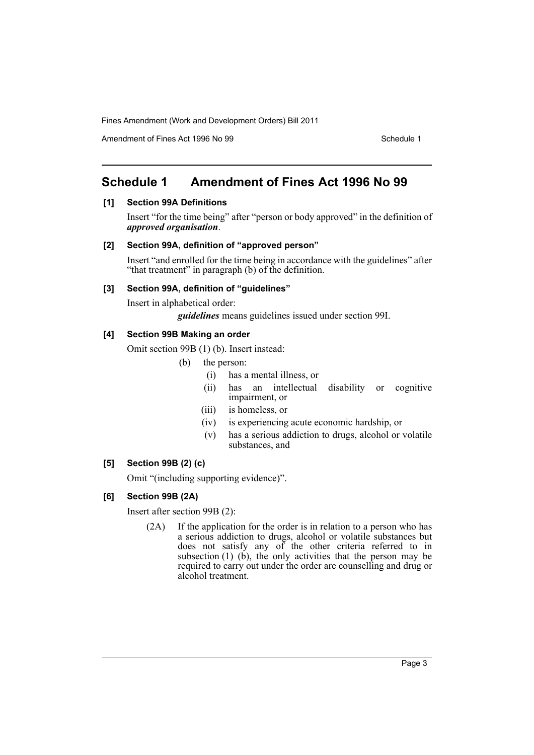Amendment of Fines Act 1996 No 99 Schedule 1

### <span id="page-4-0"></span>**Schedule 1 Amendment of Fines Act 1996 No 99**

#### **[1] Section 99A Definitions**

Insert "for the time being" after "person or body approved" in the definition of *approved organisation*.

#### **[2] Section 99A, definition of "approved person"**

Insert "and enrolled for the time being in accordance with the guidelines" after "that treatment" in paragraph (b) of the definition.

#### **[3] Section 99A, definition of "guidelines"**

Insert in alphabetical order:

*guidelines* means guidelines issued under section 99I.

#### **[4] Section 99B Making an order**

Omit section 99B (1) (b). Insert instead:

- (b) the person:
	- (i) has a mental illness, or
	- (ii) has an intellectual disability or cognitive impairment, or
	- (iii) is homeless, or
	- (iv) is experiencing acute economic hardship, or
	- (v) has a serious addiction to drugs, alcohol or volatile substances, and

#### **[5] Section 99B (2) (c)**

Omit "(including supporting evidence)".

#### **[6] Section 99B (2A)**

Insert after section 99B (2):

(2A) If the application for the order is in relation to a person who has a serious addiction to drugs, alcohol or volatile substances but does not satisfy any of the other criteria referred to in subsection  $(1)$   $(b)$ , the only activities that the person may be required to carry out under the order are counselling and drug or alcohol treatment.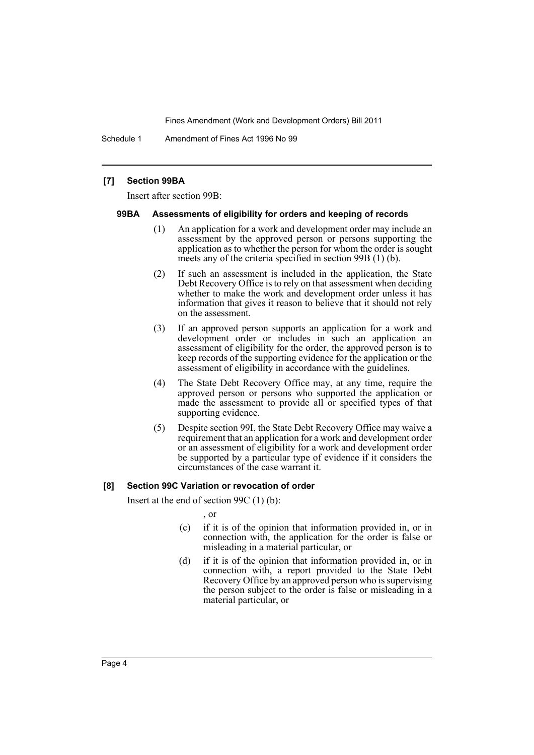Schedule 1 Amendment of Fines Act 1996 No 99

#### **[7] Section 99BA**

Insert after section 99B:

#### **99BA Assessments of eligibility for orders and keeping of records**

- (1) An application for a work and development order may include an assessment by the approved person or persons supporting the application as to whether the person for whom the order is sought meets any of the criteria specified in section 99B (1) (b).
- (2) If such an assessment is included in the application, the State Debt Recovery Office is to rely on that assessment when deciding whether to make the work and development order unless it has information that gives it reason to believe that it should not rely on the assessment.
- (3) If an approved person supports an application for a work and development order or includes in such an application an assessment of eligibility for the order, the approved person is to keep records of the supporting evidence for the application or the assessment of eligibility in accordance with the guidelines.
- (4) The State Debt Recovery Office may, at any time, require the approved person or persons who supported the application or made the assessment to provide all or specified types of that supporting evidence.
- (5) Despite section 99I, the State Debt Recovery Office may waive a requirement that an application for a work and development order or an assessment of eligibility for a work and development order be supported by a particular type of evidence if it considers the circumstances of the case warrant it.

#### **[8] Section 99C Variation or revocation of order**

Insert at the end of section 99C (1) (b):

, or

- (c) if it is of the opinion that information provided in, or in connection with, the application for the order is false or misleading in a material particular, or
- (d) if it is of the opinion that information provided in, or in connection with, a report provided to the State Debt Recovery Office by an approved person who is supervising the person subject to the order is false or misleading in a material particular, or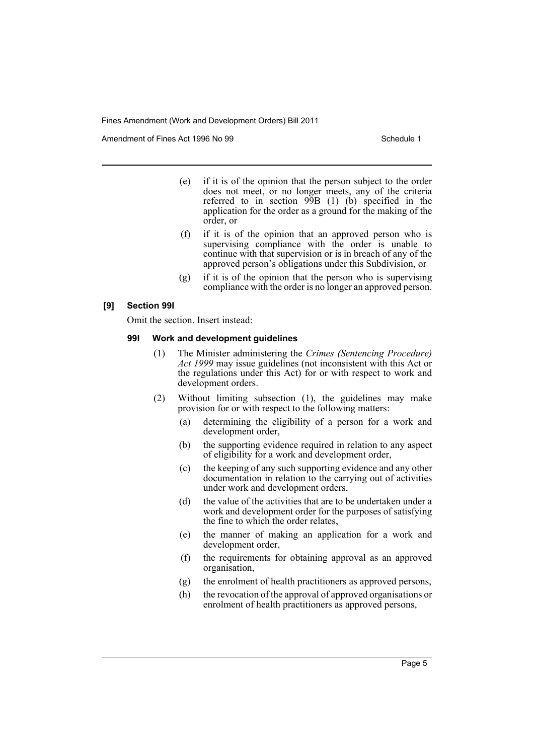Amendment of Fines Act 1996 No 99 Schedule 1

- (e) if it is of the opinion that the person subject to the order does not meet, or no longer meets, any of the criteria referred to in section 99B (1) (b) specified in the application for the order as a ground for the making of the order, or
- (f) if it is of the opinion that an approved person who is supervising compliance with the order is unable to continue with that supervision or is in breach of any of the approved person's obligations under this Subdivision, or
- (g) if it is of the opinion that the person who is supervising compliance with the order is no longer an approved person.

#### **[9] Section 99I**

Omit the section. Insert instead:

#### **99I Work and development guidelines**

- (1) The Minister administering the *Crimes (Sentencing Procedure) Act 1999* may issue guidelines (not inconsistent with this Act or the regulations under this Act) for or with respect to work and development orders.
- (2) Without limiting subsection (1), the guidelines may make provision for or with respect to the following matters:
	- (a) determining the eligibility of a person for a work and development order,
	- (b) the supporting evidence required in relation to any aspect of eligibility for a work and development order,
	- (c) the keeping of any such supporting evidence and any other documentation in relation to the carrying out of activities under work and development orders,
	- (d) the value of the activities that are to be undertaken under a work and development order for the purposes of satisfying the fine to which the order relates,
	- (e) the manner of making an application for a work and development order,
	- (f) the requirements for obtaining approval as an approved organisation,
	- (g) the enrolment of health practitioners as approved persons,
	- (h) the revocation of the approval of approved organisations or enrolment of health practitioners as approved persons,